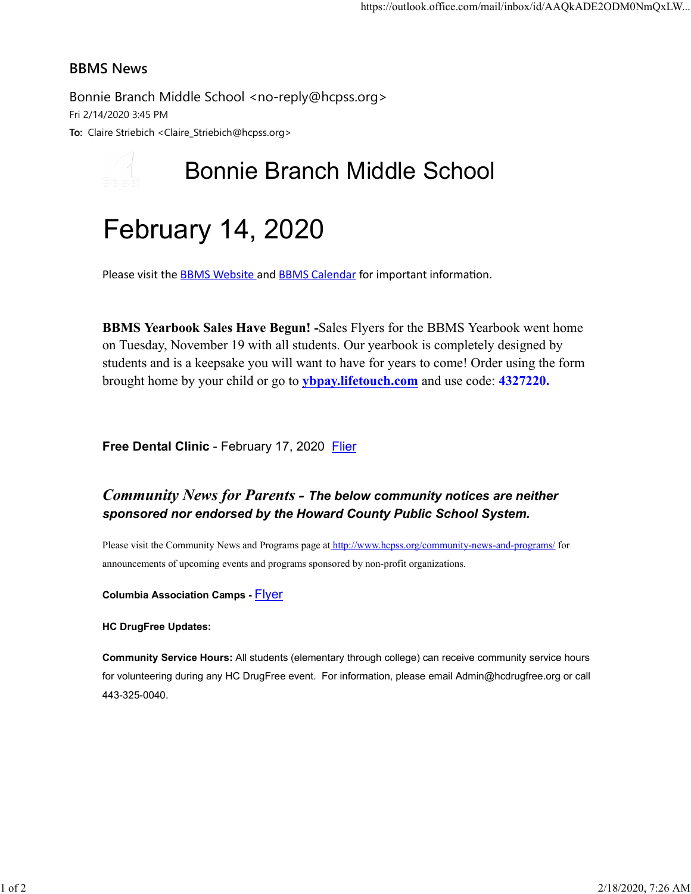#### BBMS News

Bonnie Branch Middle School <no-reply@hcpss.org> Fri 2/14/2020 3:45 PM To: Claire Striebich <Claire\_Striebich@hcpss.org>

# Bonnie Branch Middle School

# February 14, 2020

Please visit the **BBMS Website** and **BBMS Calendar** for important information.

BBMS Yearbook Sales Have Begun! -Sales Flyers for the BBMS Yearbook went home on Tuesday, November 19 with all students. Our yearbook is completely designed by students and is a keepsake you will want to have for years to come! Order using the form brought home by your child or go to ybpay.lifetouch.com and use code: 4327220.

Free Dental Clinic - February 17, 2020 Flier

### Community News for Parents - The below community notices are neither sponsored nor endorsed by the Howard County Public School System.

Please visit the Community News and Programs page at http://www.hcpss.org/community-news-and-programs/ for announcements of upcoming events and programs sponsored by non-profit organizations.

Columbia Association Camps - Flyer

HC DrugFree Updates:

Community Service Hours: All students (elementary through college) can receive community service hours for volunteering during any HC DrugFree event. For information, please email Admin@hcdrugfree.org or call 443-325-0040.